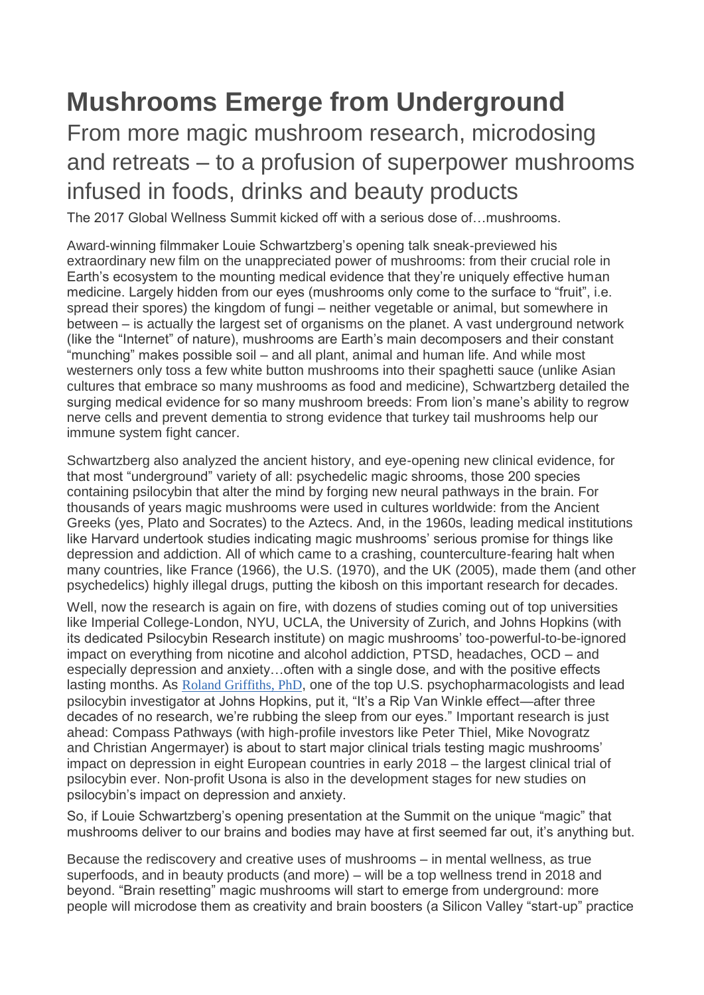# **Mushrooms Emerge from Underground**

# From more magic mushroom research, microdosing and retreats – to a profusion of superpower mushrooms infused in foods, drinks and beauty products

The 2017 Global Wellness Summit kicked off with a serious dose of…mushrooms.

Award-winning filmmaker Louie Schwartzberg's opening talk sneak-previewed his extraordinary new film on the unappreciated power of mushrooms: from their crucial role in Earth's ecosystem to the mounting medical evidence that they're uniquely effective human medicine. Largely hidden from our eyes (mushrooms only come to the surface to "fruit", i.e. spread their spores) the kingdom of fungi – neither vegetable or animal, but somewhere in between – is actually the largest set of organisms on the planet. A vast underground network (like the "Internet" of nature), mushrooms are Earth's main decomposers and their constant "munching" makes possible soil – and all plant, animal and human life. And while most westerners only toss a few white button mushrooms into their spaghetti sauce (unlike Asian cultures that embrace so many mushrooms as food and medicine), Schwartzberg detailed the surging medical evidence for so many mushroom breeds: From lion's mane's ability to regrow nerve cells and prevent dementia to strong evidence that turkey tail mushrooms help our immune system fight cancer.

Schwartzberg also analyzed the ancient history, and eye-opening new clinical evidence, for that most "underground" variety of all: psychedelic magic shrooms, those 200 species containing psilocybin that alter the mind by forging new neural pathways in the brain. For thousands of years magic mushrooms were used in cultures worldwide: from the Ancient Greeks (yes, Plato and Socrates) to the Aztecs. And, in the 1960s, leading medical institutions like Harvard undertook studies indicating magic mushrooms' serious promise for things like depression and addiction. All of which came to a crashing, counterculture-fearing halt when many countries, like France (1966), the U.S. (1970), and the UK (2005), made them (and other psychedelics) highly illegal drugs, putting the kibosh on this important research for decades.

Well, now the research is again on fire, with dozens of studies coming out of top universities like Imperial College-London, NYU, UCLA, the University of Zurich, and Johns Hopkins (with its dedicated Psilocybin Research institute) on magic mushrooms' too-powerful-to-be-ignored impact on everything from nicotine and alcohol addiction, PTSD, headaches, OCD – and especially depression and anxiety…often with a single dose, and with the positive effects lasting months. As Roland [Griffiths,](https://www.newyorker.com/magazine/2015/02/09/trip-treatment) PhD, one of the top U.S. psychopharmacologists and lead psilocybin investigator at Johns Hopkins, put it, "It's a Rip Van Winkle effect—after three decades of no research, we're rubbing the sleep from our eyes." Important research is just ahead: Compass Pathways (with high-profile investors like Peter Thiel, Mike Novogratz and Christian Angermayer) is about to start major clinical trials testing magic mushrooms' impact on depression in eight European countries in early 2018 – the largest clinical trial of psilocybin ever. Non-profit Usona is also in the development stages for new studies on psilocybin's impact on depression and anxiety.

So, if Louie Schwartzberg's opening presentation at the Summit on the unique "magic" that mushrooms deliver to our brains and bodies may have at first seemed far out, it's anything but.

Because the rediscovery and creative uses of mushrooms – in mental wellness, as true superfoods, and in beauty products (and more) – will be a top wellness trend in 2018 and beyond. "Brain resetting" magic mushrooms will start to emerge from underground: more people will microdose them as creativity and brain boosters (a Silicon Valley "start-up" practice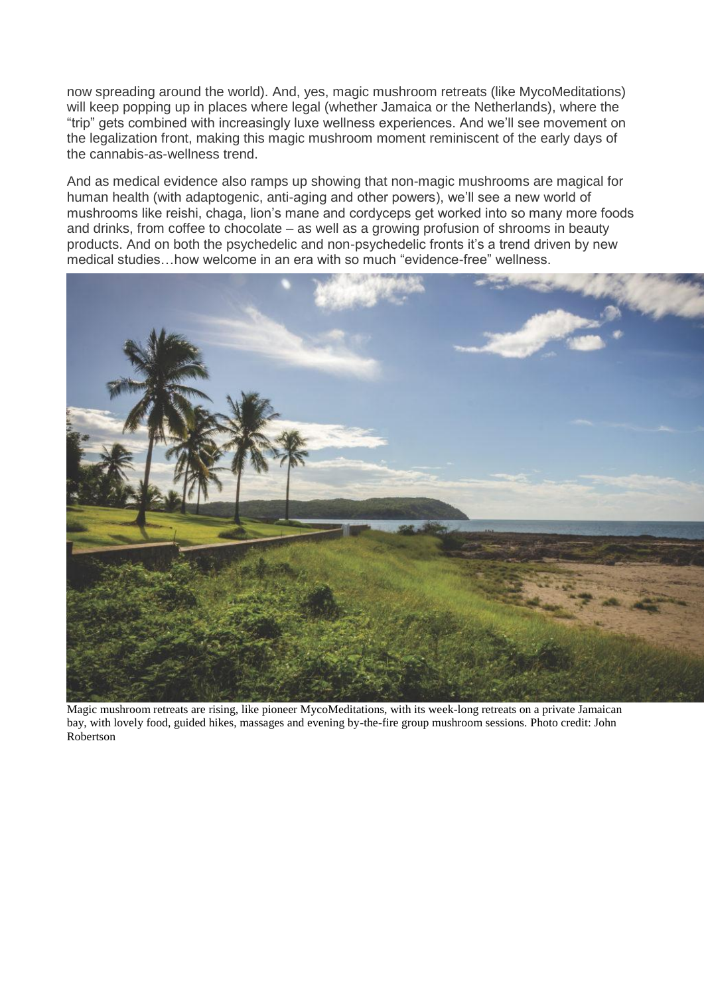now spreading around the world). And, yes, magic mushroom retreats (like MycoMeditations) will keep popping up in places where legal (whether Jamaica or the Netherlands), where the "trip" gets combined with increasingly luxe wellness experiences. And we'll see movement on the legalization front, making this magic mushroom moment reminiscent of the early days of the cannabis-as-wellness trend.

And as medical evidence also ramps up showing that non-magic mushrooms are magical for human health (with adaptogenic, anti-aging and other powers), we'll see a new world of mushrooms like reishi, chaga, lion's mane and cordyceps get worked into so many more foods and drinks, from coffee to chocolate – as well as a growing profusion of shrooms in beauty products. And on both the psychedelic and non-psychedelic fronts it's a trend driven by new medical studies…how welcome in an era with so much "evidence-free" wellness.



Magic mushroom retreats are rising, like pioneer MycoMeditations, with its week-long retreats on a private Jamaican bay, with lovely food, guided hikes, massages and evening by-the-fire group mushroom sessions. Photo credit: John Robertson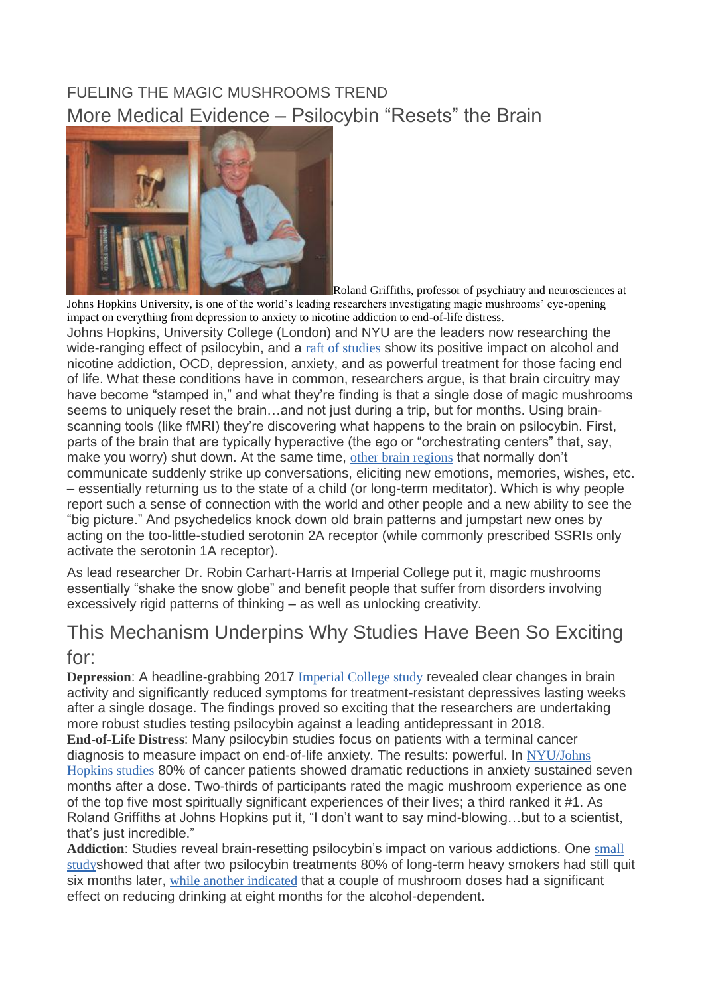#### FUELING THE MAGIC MUSHROOMS TREND More Medical Evidence – Psilocybin "Resets" the Brain



Roland Griffiths, professor of psychiatry and neurosciences at Johns Hopkins University, is one of the world's leading researchers investigating magic mushrooms' eye-opening

impact on everything from depression to anxiety to nicotine addiction to end-of-life distress. Johns Hopkins, University College (London) and NYU are the leaders now researching the wide-ranging effect of psilocybin, and a raft of [studies](http://www.pnas.org/content/109/6/2138.full) show its positive impact on alcohol and nicotine addiction, OCD, depression, anxiety, and as powerful treatment for those facing end of life. What these conditions have in common, researchers argue, is that brain circuitry may have become "stamped in," and what they're finding is that a single dose of magic mushrooms seems to uniquely reset the brain...and not just during a trip, but for months. Using brainscanning tools (like fMRI) they're discovering what happens to the brain on psilocybin. First, parts of the brain that are typically hyperactive (the ego or "orchestrating centers" that, say, make you worry) shut down. At the same time, other brain [regions](http://rsif.royalsocietypublishing.org/content/11/101/20140873) that normally don't communicate suddenly strike up conversations, eliciting new emotions, memories, wishes, etc. – essentially returning us to the state of a child (or long-term meditator). Which is why people report such a sense of connection with the world and other people and a new ability to see the "big picture." And psychedelics knock down old brain patterns and jumpstart new ones by acting on the too-little-studied serotonin 2A receptor (while commonly prescribed SSRIs only activate the serotonin 1A receptor).

As lead researcher Dr. Robin Carhart-Harris at Imperial College put it, magic mushrooms essentially "shake the snow globe" and benefit people that suffer from disorders involving excessively rigid patterns of thinking – as well as unlocking creativity.

### This Mechanism Underpins Why Studies Have Been So Exciting for:

**Depression**: A headline-grabbing 2017 [Imperial](https://www.theguardian.com/science/2017/oct/13/magic-mushrooms-reboot-brain-in-depressed-people-study) College study revealed clear changes in brain activity and significantly reduced symptoms for treatment-resistant depressives lasting weeks after a single dosage. The findings proved so exciting that the researchers are undertaking more robust studies testing psilocybin against a leading antidepressant in 2018. **End-of-Life Distress**: Many psilocybin studies focus on patients with a terminal cancer diagnosis to measure impact on end-of-life anxiety. The results: powerful. In [NYU/Johns](http://journals.sagepub.com/doi/full/10.1177/0269881116675754) [Hopkins](http://journals.sagepub.com/doi/full/10.1177/0269881116675754) studies 80% of cancer patients showed dramatic reductions in anxiety sustained seven months after a dose. Two-thirds of participants rated the magic mushroom experience as one of the top five most spiritually significant experiences of their lives; a third ranked it #1. As Roland Griffiths at Johns Hopkins put it, "I don't want to say mind-blowing…but to a scientist, that's just incredible."

**Addiction**: Studies reveal brain-resetting psilocybin's impact on various addictions. One [small](https://www.ncbi.nlm.nih.gov/pubmed/22114542) [study](https://www.ncbi.nlm.nih.gov/pubmed/22114542)showed that after two psilocybin treatments 80% of long-term heavy smokers had still quit six months later, while another [indicated](http://www.thelancet.com/journals/lanpsy/article/PIIS2215-0366(16)30065-7/abstract) that a couple of mushroom doses had a significant effect on reducing drinking at eight months for the alcohol-dependent.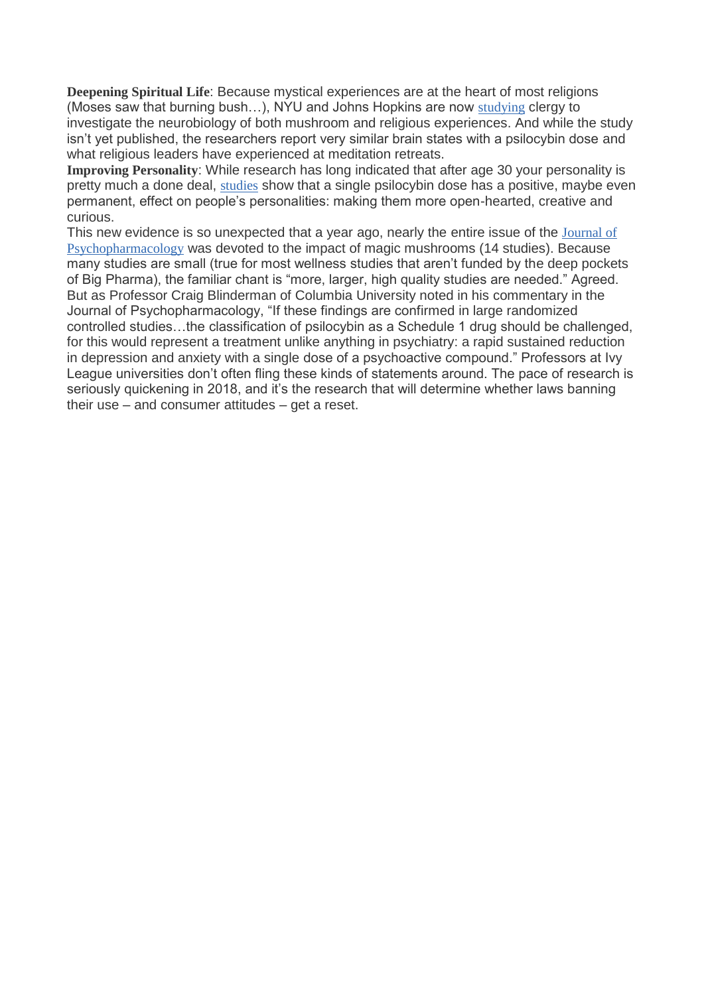**Deepening Spiritual Life**: Because mystical experiences are at the heart of most religions (Moses saw that burning bush…), NYU and Johns Hopkins are now [studying](https://www.washingtonpost.com/news/acts-of-faith/wp/2017/07/24/at-johns-hopkins-clergy-try-mind-altering-drugs-for-scientific-research/?utm_term=.89611f9e4fc7) clergy to investigate the neurobiology of both mushroom and religious experiences. And while the study isn't yet published, the researchers report very similar brain states with a psilocybin dose and what religious leaders have experienced at meditation retreats.

**Improving Personality**: While research has long indicated that after age 30 your personality is pretty much a done deal, [studies](https://www.livescience.com/16287-mushrooms-alter-personality-long-term.html) show that a single psilocybin dose has a positive, maybe even permanent, effect on people's personalities: making them more open-hearted, creative and curious.

This new evidence is so unexpected that a year ago, nearly the entire issue of the [Journal](http://journals.sagepub.com/toc/jopa/30/12) of [Psychopharmacology](http://journals.sagepub.com/toc/jopa/30/12) was devoted to the impact of magic mushrooms (14 studies). Because many studies are small (true for most wellness studies that aren't funded by the deep pockets of Big Pharma), the familiar chant is "more, larger, high quality studies are needed." Agreed. But as Professor Craig Blinderman of Columbia University noted in his commentary in the Journal of Psychopharmacology, "If these findings are confirmed in large randomized controlled studies…the classification of psilocybin as a Schedule 1 drug should be challenged, for this would represent a treatment unlike anything in psychiatry: a rapid sustained reduction in depression and anxiety with a single dose of a psychoactive compound." Professors at Ivy League universities don't often fling these kinds of statements around. The pace of research is seriously quickening in 2018, and it's the research that will determine whether laws banning their use – and consumer attitudes – get a reset.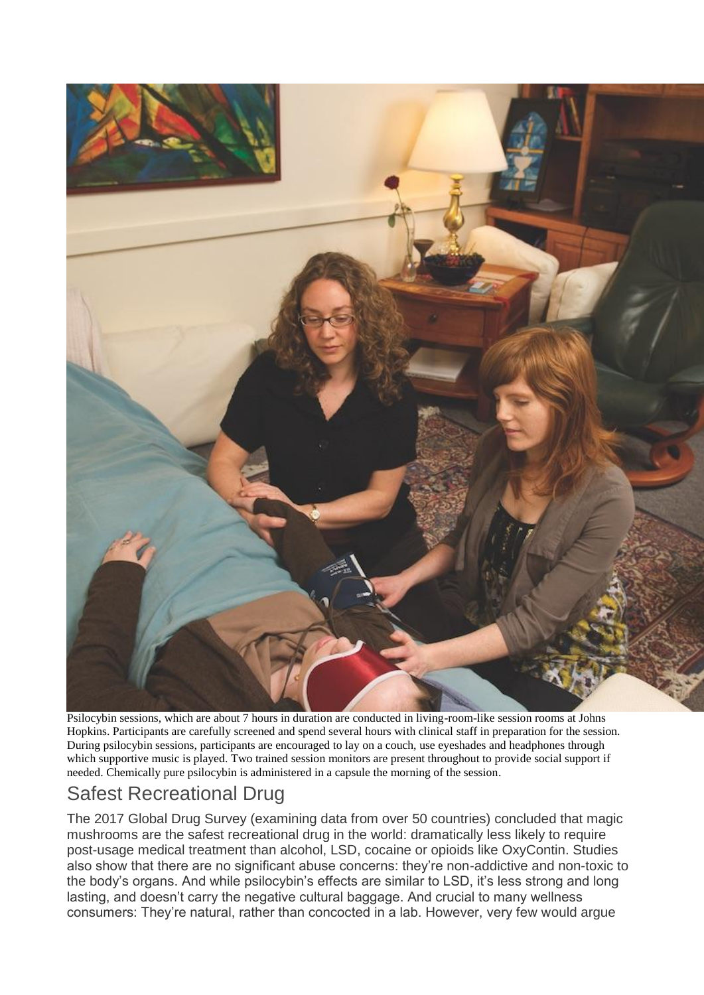

Psilocybin sessions, which are about 7 hours in duration are conducted in living-room-like session rooms at Johns Hopkins. Participants are carefully screened and spend several hours with clinical staff in preparation for the session. During psilocybin sessions, participants are encouraged to lay on a couch, use eyeshades and headphones through which supportive music is played. Two trained session monitors are present throughout to provide social support if needed. Chemically pure psilocybin is administered in a capsule the morning of the session.

# Safest Recreational Drug

The 2017 Global Drug Survey (examining data from over 50 countries) concluded that magic mushrooms are the safest recreational drug in the world: dramatically less likely to require post-usage medical treatment than alcohol, LSD, cocaine or opioids like OxyContin. Studies also show that there are no significant abuse concerns: they're non-addictive and non-toxic to the body's organs. And while psilocybin's effects are similar to LSD, it's less strong and long lasting, and doesn't carry the negative cultural baggage. And crucial to many wellness consumers: They're natural, rather than concocted in a lab. However, very few would argue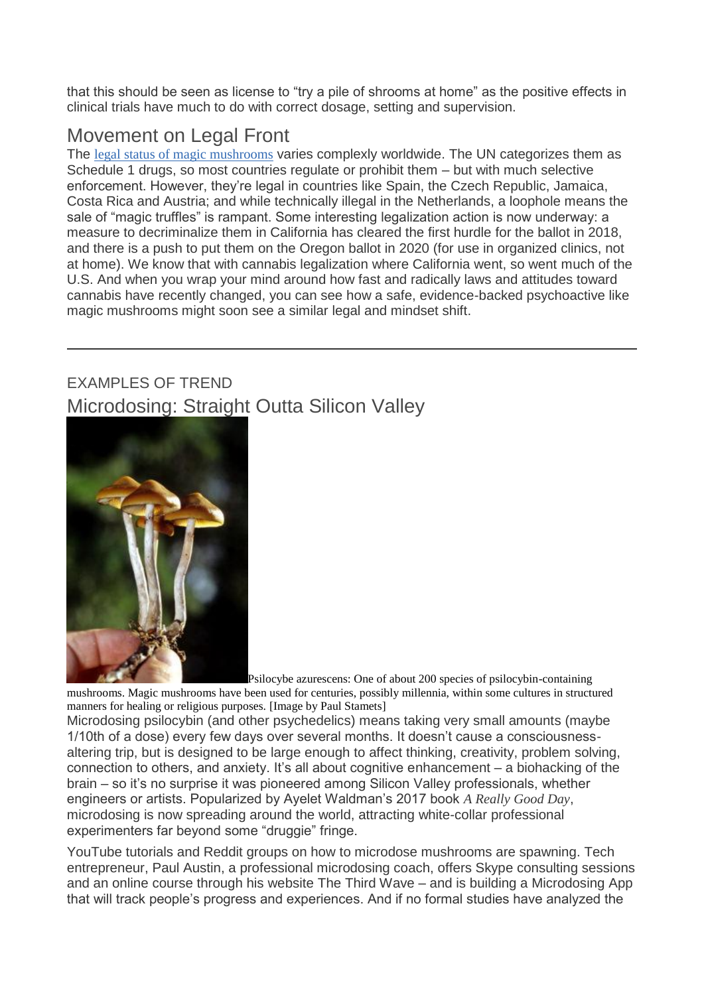that this should be seen as license to "try a pile of shrooms at home" as the positive effects in clinical trials have much to do with correct dosage, setting and supervision.

### Movement on Legal Front

The legal status of magic [mushrooms](https://en.wikipedia.org/wiki/Legal_status_of_psilocybin_mushrooms) varies complexly worldwide. The UN categorizes them as Schedule 1 drugs, so most countries regulate or prohibit them – but with much selective enforcement. However, they're legal in countries like Spain, the Czech Republic, Jamaica, Costa Rica and Austria; and while technically illegal in the Netherlands, a loophole means the sale of "magic truffles" is rampant. Some interesting legalization action is now underway: a measure to decriminalize them in California has cleared the first hurdle for the ballot in 2018, and there is a push to put them on the Oregon ballot in 2020 (for use in organized clinics, not at home). We know that with cannabis legalization where California went, so went much of the U.S. And when you wrap your mind around how fast and radically laws and attitudes toward cannabis have recently changed, you can see how a safe, evidence-backed psychoactive like magic mushrooms might soon see a similar legal and mindset shift.

### EXAMPLES OF TREND Microdosing: Straight Outta Silicon Valley



Psilocybe azurescens: One of about 200 species of psilocybin-containing mushrooms. Magic mushrooms have been used for centuries, possibly millennia, within some cultures in structured manners for healing or religious purposes. [Image by Paul Stamets]

Microdosing psilocybin (and other psychedelics) means taking very small amounts (maybe 1/10th of a dose) every few days over several months. It doesn't cause a consciousnessaltering trip, but is designed to be large enough to affect thinking, creativity, problem solving, connection to others, and anxiety. It's all about cognitive enhancement – a biohacking of the brain – so it's no surprise it was pioneered among Silicon Valley professionals, whether engineers or artists. Popularized by Ayelet Waldman's 2017 book *A Really Good Day*, microdosing is now spreading around the world, attracting white-collar professional experimenters far beyond some "druggie" fringe.

YouTube tutorials and Reddit groups on how to microdose mushrooms are spawning. Tech entrepreneur, Paul Austin, a professional microdosing coach, offers Skype consulting sessions and an online course through his website The Third Wave – and is building a Microdosing App that will track people's progress and experiences. And if no formal studies have analyzed the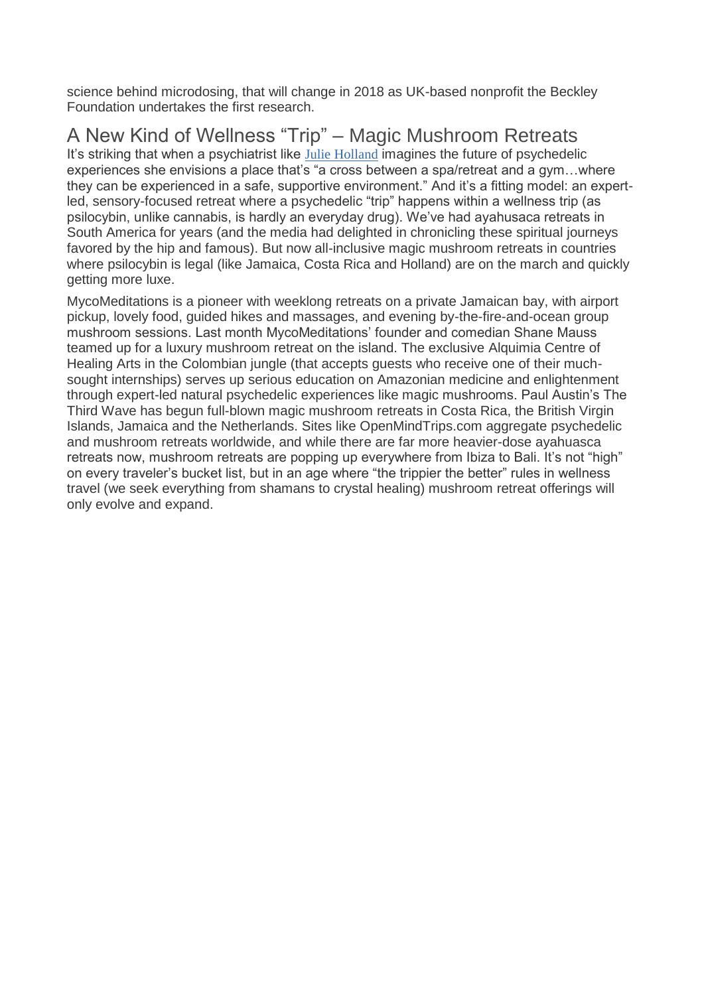science behind microdosing, that will change in 2018 as UK-based nonprofit the Beckley Foundation undertakes the first research.

# A New Kind of Wellness "Trip" – Magic Mushroom Retreats

It's striking that when a psychiatrist like Julie [Holland](https://www.newyorker.com/magazine/2015/02/09/trip-treatment) imagines the future of psychedelic experiences she envisions a place that's "a cross between a spa/retreat and a gym…where they can be experienced in a safe, supportive environment." And it's a fitting model: an expertled, sensory-focused retreat where a psychedelic "trip" happens within a wellness trip (as psilocybin, unlike cannabis, is hardly an everyday drug). We've had ayahusaca retreats in South America for years (and the media had delighted in chronicling these spiritual journeys favored by the hip and famous). But now all-inclusive magic mushroom retreats in countries where psilocybin is legal (like Jamaica, Costa Rica and Holland) are on the march and quickly getting more luxe.

MycoMeditations is a pioneer with weeklong retreats on a private Jamaican bay, with airport pickup, lovely food, guided hikes and massages, and evening by-the-fire-and-ocean group mushroom sessions. Last month MycoMeditations' founder and comedian Shane Mauss teamed up for a luxury mushroom retreat on the island. The exclusive Alquimia Centre of Healing Arts in the Colombian jungle (that accepts guests who receive one of their muchsought internships) serves up serious education on Amazonian medicine and enlightenment through expert-led natural psychedelic experiences like magic mushrooms. Paul Austin's The Third Wave has begun full-blown magic mushroom retreats in Costa Rica, the British Virgin Islands, Jamaica and the Netherlands. Sites like OpenMindTrips.com aggregate psychedelic and mushroom retreats worldwide, and while there are far more heavier-dose ayahuasca retreats now, mushroom retreats are popping up everywhere from Ibiza to Bali. It's not "high" on every traveler's bucket list, but in an age where "the trippier the better" rules in wellness travel (we seek everything from shamans to crystal healing) mushroom retreat offerings will only evolve and expand.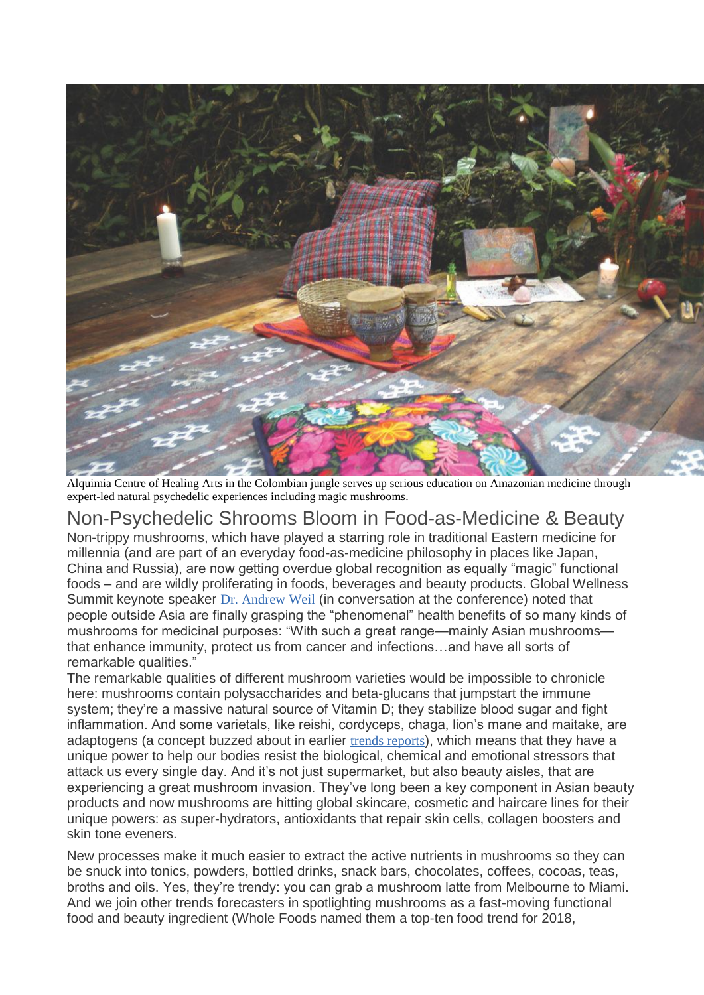

Alquimia Centre of Healing Arts in the Colombian jungle serves up serious education on Amazonian medicine through expert-led natural psychedelic experiences including magic mushrooms.

## Non-Psychedelic Shrooms Bloom in Food-as-Medicine & Beauty

Non-trippy mushrooms, which have played a starring role in traditional Eastern medicine for millennia (and are part of an everyday food-as-medicine philosophy in places like Japan, China and Russia), are now getting overdue global recognition as equally "magic" functional foods – and are wildly proliferating in foods, beverages and beauty products. Global Wellness Summit keynote speaker Dr. [Andrew](https://www.wellandgood.com/good-advice/dr-andrew-weil-matcha-mushroom-prescriptions/) Weil (in conversation at the conference) noted that people outside Asia are finally grasping the "phenomenal" health benefits of so many kinds of mushrooms for medicinal purposes: "With such a great range—mainly Asian mushrooms that enhance immunity, protect us from cancer and infections…and have all sorts of remarkable qualities."

The remarkable qualities of different mushroom varieties would be impossible to chronicle here: mushrooms contain polysaccharides and beta-glucans that jumpstart the immune system; they're a massive natural source of Vitamin D; they stabilize blood sugar and fight inflammation. And some varietals, like reishi, cordyceps, chaga, lion's mane and maitake, are adaptogens (a concept buzzed about in earlier trends [reports](https://www.wellandgood.com/2017-fitness-wellness-trends/)), which means that they have a unique power to help our bodies resist the biological, chemical and emotional stressors that attack us every single day. And it's not just supermarket, but also beauty aisles, that are experiencing a great mushroom invasion. They've long been a key component in Asian beauty products and now mushrooms are hitting global skincare, cosmetic and haircare lines for their unique powers: as super-hydrators, antioxidants that repair skin cells, collagen boosters and skin tone eveners.

New processes make it much easier to extract the active nutrients in mushrooms so they can be snuck into tonics, powders, bottled drinks, snack bars, chocolates, coffees, cocoas, teas, broths and oils. Yes, they're trendy: you can grab a mushroom latte from Melbourne to Miami. And we join other trends forecasters in spotlighting mushrooms as a fast-moving functional food and beauty ingredient (Whole Foods named them a top-ten food trend for 2018,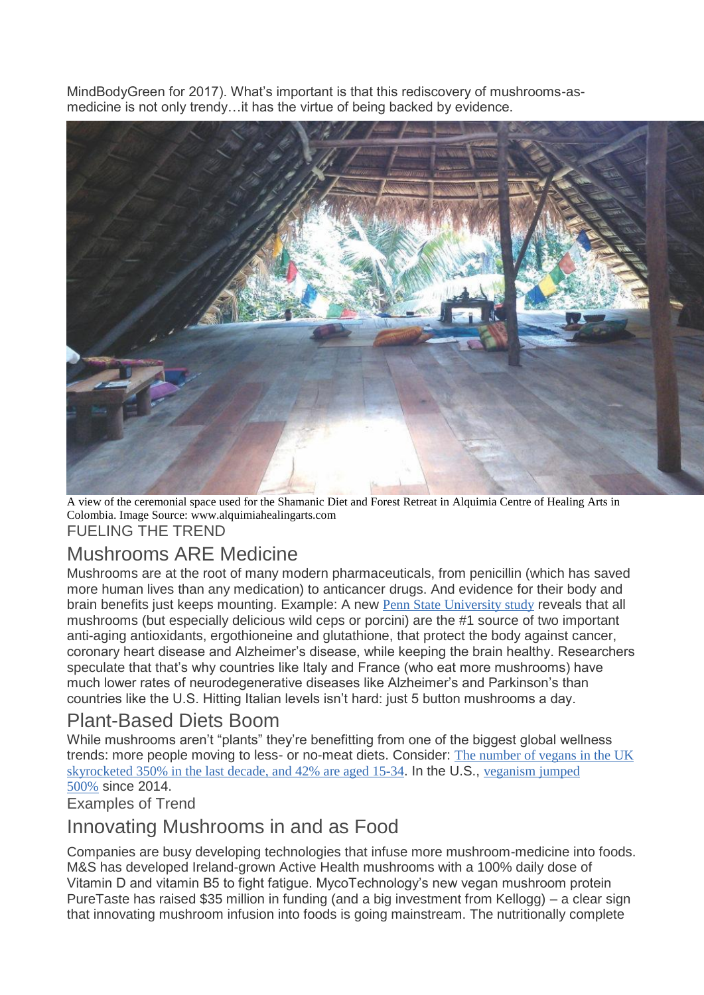MindBodyGreen for 2017). What's important is that this rediscovery of mushrooms-asmedicine is not only trendy…it has the virtue of being backed by evidence.



A view of the ceremonial space used for the Shamanic Diet and Forest Retreat in Alquimia Centre of Healing Arts in Colombia. Image Source: www.alquimiahealingarts.com FUELING THE TREND

# Mushrooms ARE Medicine

Mushrooms are at the root of many modern pharmaceuticals, from penicillin (which has saved more human lives than any medication) to anticancer drugs. And evidence for their body and brain benefits just keeps mounting. Example: A new Penn State [University](http://news.psu.edu/story/491477/2017/11/09/research/mushrooms-are-full-antioxidants-may-have-anti-aging-potential) study reveals that all mushrooms (but especially delicious wild ceps or porcini) are the #1 source of two important anti-aging antioxidants, ergothioneine and glutathione, that protect the body against cancer, coronary heart disease and Alzheimer's disease, while keeping the brain healthy. Researchers speculate that that's why countries like Italy and France (who eat more mushrooms) have much lower rates of neurodegenerative diseases like Alzheimer's and Parkinson's than countries like the U.S. Hitting Italian levels isn't hard: just 5 button mushrooms a day.

# Plant-Based Diets Boom

While mushrooms aren't "plants" they're benefitting from one of the biggest global wellness trends: more people moving to less- or no-meat diets. Consider: The [number](https://www.veganlifemag.com/veganism-booms/) of vegans in the UK [skyrocketed](https://www.veganlifemag.com/veganism-booms/) 350% in the last decade, and 42% are aged 15-34. In the U.S., [veganism](https://www.reportbuyer.com/product/4959853/top-trends-in-prepared-foods-2017-exploring-trends-in-meat-fish-and-seafood-pasta-noodles-and-rice-prepared-meals-savory-deli-food-soup-and-meat-substitutes.html) jumped [500%](https://www.reportbuyer.com/product/4959853/top-trends-in-prepared-foods-2017-exploring-trends-in-meat-fish-and-seafood-pasta-noodles-and-rice-prepared-meals-savory-deli-food-soup-and-meat-substitutes.html) since 2014. Examples of Trend

#### Innovating Mushrooms in and as Food

Companies are busy developing technologies that infuse more mushroom-medicine into foods. M&S has developed Ireland-grown Active Health mushrooms with a 100% daily dose of Vitamin D and vitamin B5 to fight fatigue. MycoTechnology's new vegan mushroom protein PureTaste has raised \$35 million in funding (and a big investment from Kellogg) – a clear sign that innovating mushroom infusion into foods is going mainstream. The nutritionally complete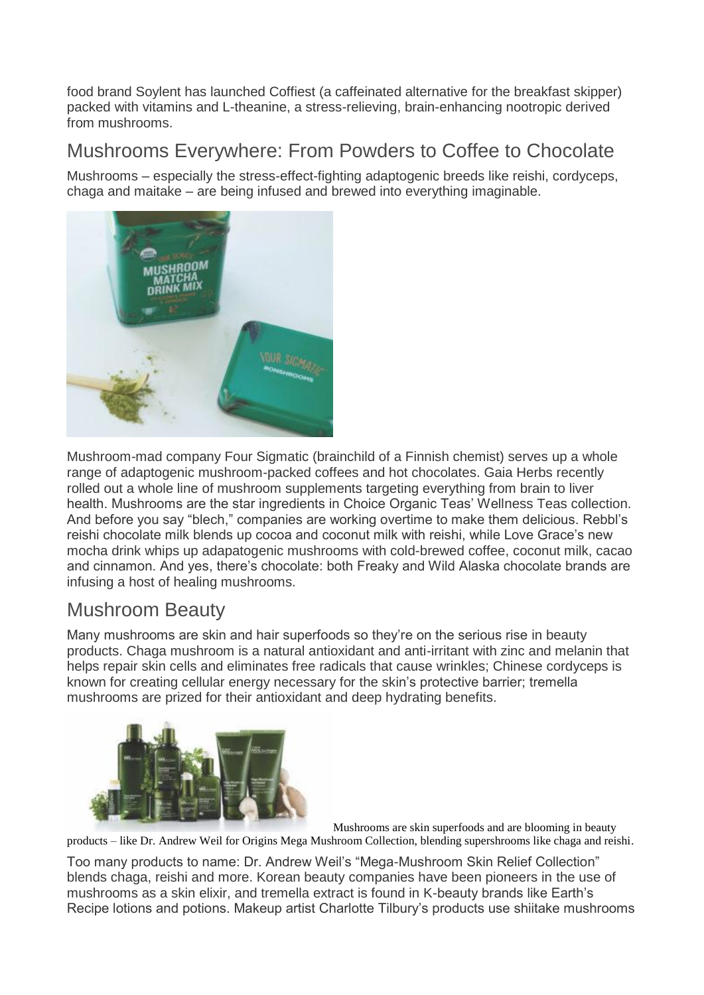food brand Soylent has launched Coffiest (a caffeinated alternative for the breakfast skipper) packed with vitamins and L-theanine, a stress-relieving, brain-enhancing nootropic derived from mushrooms.

# Mushrooms Everywhere: From Powders to Coffee to Chocolate

Mushrooms – especially the stress-effect-fighting adaptogenic breeds like reishi, cordyceps, chaga and maitake – are being infused and brewed into everything imaginable.



Mushroom-mad company Four Sigmatic (brainchild of a Finnish chemist) serves up a whole range of adaptogenic mushroom-packed coffees and hot chocolates. Gaia Herbs recently rolled out a whole line of mushroom supplements targeting everything from brain to liver health. Mushrooms are the star ingredients in Choice Organic Teas' Wellness Teas collection. And before you say "blech," companies are working overtime to make them delicious. Rebbl's reishi chocolate milk blends up cocoa and coconut milk with reishi, while Love Grace's new mocha drink whips up adapatogenic mushrooms with cold-brewed coffee, coconut milk, cacao and cinnamon. And yes, there's chocolate: both Freaky and Wild Alaska chocolate brands are infusing a host of healing mushrooms.

# Mushroom Beauty

Many mushrooms are skin and hair superfoods so they're on the serious rise in beauty products. Chaga mushroom is a natural antioxidant and anti-irritant with zinc and melanin that helps repair skin cells and eliminates free radicals that cause wrinkles; Chinese cordyceps is known for creating cellular energy necessary for the skin's protective barrier; tremella mushrooms are prized for their antioxidant and deep hydrating benefits.



Mushrooms are skin superfoods and are blooming in beauty products – like Dr. Andrew Weil for Origins Mega Mushroom Collection, blending supershrooms like chaga and reishi.

Too many products to name: Dr. Andrew Weil's "Mega-Mushroom Skin Relief Collection" blends chaga, reishi and more. Korean beauty companies have been pioneers in the use of mushrooms as a skin elixir, and tremella extract is found in K-beauty brands like Earth's Recipe lotions and potions. Makeup artist Charlotte Tilbury's products use shiitake mushrooms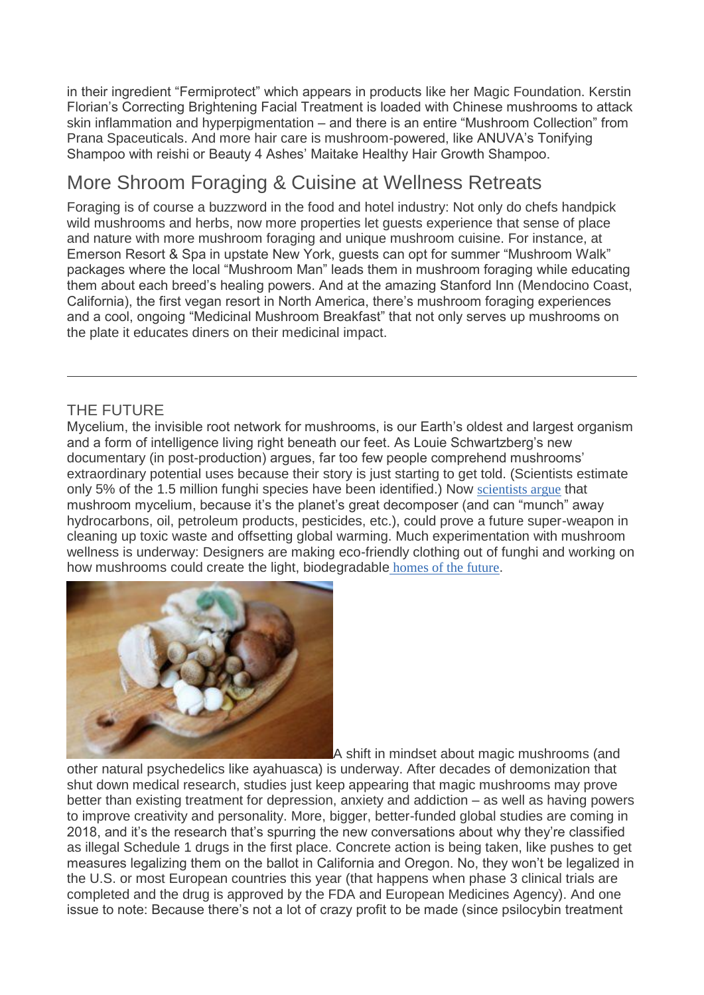in their ingredient "Fermiprotect" which appears in products like her Magic Foundation. Kerstin Florian's Correcting Brightening Facial Treatment is loaded with Chinese mushrooms to attack skin inflammation and hyperpigmentation – and there is an entire "Mushroom Collection" from Prana Spaceuticals. And more hair care is mushroom-powered, like ANUVA's Tonifying Shampoo with reishi or Beauty 4 Ashes' Maitake Healthy Hair Growth Shampoo.

# More Shroom Foraging & Cuisine at Wellness Retreats

Foraging is of course a buzzword in the food and hotel industry: Not only do chefs handpick wild mushrooms and herbs, now more properties let guests experience that sense of place and nature with more mushroom foraging and unique mushroom cuisine. For instance, at Emerson Resort & Spa in upstate New York, guests can opt for summer "Mushroom Walk" packages where the local "Mushroom Man" leads them in mushroom foraging while educating them about each breed's healing powers. And at the amazing Stanford Inn (Mendocino Coast, California), the first vegan resort in North America, there's mushroom foraging experiences and a cool, ongoing "Medicinal Mushroom Breakfast" that not only serves up mushrooms on the plate it educates diners on their medicinal impact.

#### THE FUTURE

Mycelium, the invisible root network for mushrooms, is our Earth's oldest and largest organism and a form of intelligence living right beneath our feet. As Louie Schwartzberg's new documentary (in post-production) argues, far too few people comprehend mushrooms' extraordinary potential uses because their story is just starting to get told. (Scientists estimate only 5% of the 1.5 million funghi species have been identified.) Now [scientists](http://www.ibtimes.co.uk/plastic-pollution-how-mushrooms-inspired-scientists-create-fungus-that-could-save-planet-1650292) argue that mushroom mycelium, because it's the planet's great decomposer (and can "munch" away hydrocarbons, oil, petroleum products, pesticides, etc.), could prove a future super-weapon in cleaning up toxic waste and offsetting global warming. Much experimentation with mushroom wellness is underway: Designers are making eco-friendly clothing out of funghi and working on how mushrooms could create the light, biodegradable [homes](https://newatlas.com/mushroom-sausages-building/50134/) of the future.



A shift in mindset about magic mushrooms (and

other natural psychedelics like ayahuasca) is underway. After decades of demonization that shut down medical research, studies just keep appearing that magic mushrooms may prove better than existing treatment for depression, anxiety and addiction – as well as having powers to improve creativity and personality. More, bigger, better-funded global studies are coming in 2018, and it's the research that's spurring the new conversations about why they're classified as illegal Schedule 1 drugs in the first place. Concrete action is being taken, like pushes to get measures legalizing them on the ballot in California and Oregon. No, they won't be legalized in the U.S. or most European countries this year (that happens when phase 3 clinical trials are completed and the drug is approved by the FDA and European Medicines Agency). And one issue to note: Because there's not a lot of crazy profit to be made (since psilocybin treatment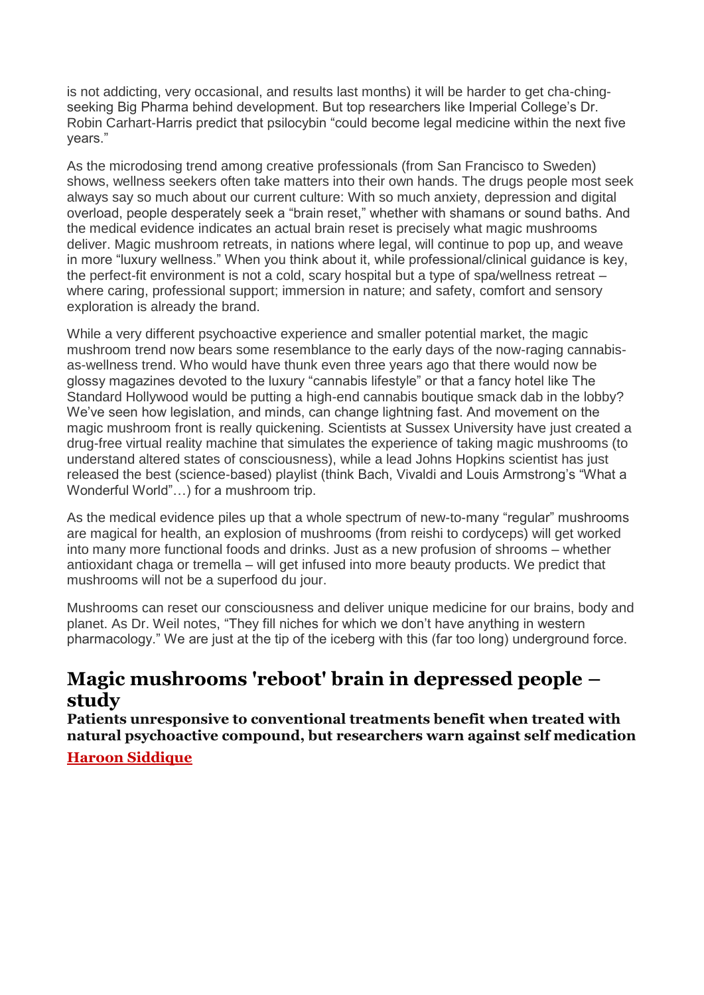is not addicting, very occasional, and results last months) it will be harder to get cha-chingseeking Big Pharma behind development. But top researchers like Imperial College's Dr. Robin Carhart-Harris predict that psilocybin "could become legal medicine within the next five years."

As the microdosing trend among creative professionals (from San Francisco to Sweden) shows, wellness seekers often take matters into their own hands. The drugs people most seek always say so much about our current culture: With so much anxiety, depression and digital overload, people desperately seek a "brain reset," whether with shamans or sound baths. And the medical evidence indicates an actual brain reset is precisely what magic mushrooms deliver. Magic mushroom retreats, in nations where legal, will continue to pop up, and weave in more "luxury wellness." When you think about it, while professional/clinical guidance is key, the perfect-fit environment is not a cold, scary hospital but a type of spa/wellness retreat – where caring, professional support; immersion in nature; and safety, comfort and sensory exploration is already the brand.

While a very different psychoactive experience and smaller potential market, the magic mushroom trend now bears some resemblance to the early days of the now-raging cannabisas-wellness trend. Who would have thunk even three years ago that there would now be glossy magazines devoted to the luxury "cannabis lifestyle" or that a fancy hotel like The Standard Hollywood would be putting a high-end cannabis boutique smack dab in the lobby? We've seen how legislation, and minds, can change lightning fast. And movement on the magic mushroom front is really quickening. Scientists at Sussex University have just created a drug-free virtual reality machine that simulates the experience of taking magic mushrooms (to understand altered states of consciousness), while a lead Johns Hopkins scientist has just released the best (science-based) playlist (think Bach, Vivaldi and Louis Armstrong's "What a Wonderful World"...) for a mushroom trip.

As the medical evidence piles up that a whole spectrum of new-to-many "regular" mushrooms are magical for health, an explosion of mushrooms (from reishi to cordyceps) will get worked into many more functional foods and drinks. Just as a new profusion of shrooms – whether antioxidant chaga or tremella – will get infused into more beauty products. We predict that mushrooms will not be a superfood du jour.

Mushrooms can reset our consciousness and deliver unique medicine for our brains, body and planet. As Dr. Weil notes, "They fill niches for which we don't have anything in western pharmacology." We are just at the tip of the iceberg with this (far too long) underground force.

#### **Magic mushrooms 'reboot' brain in depressed people – study**

**Patients unresponsive to conventional treatments benefit when treated with natural psychoactive compound, but researchers warn against self medication [Haroon Siddique](https://www.theguardian.com/profile/haroonsiddique)**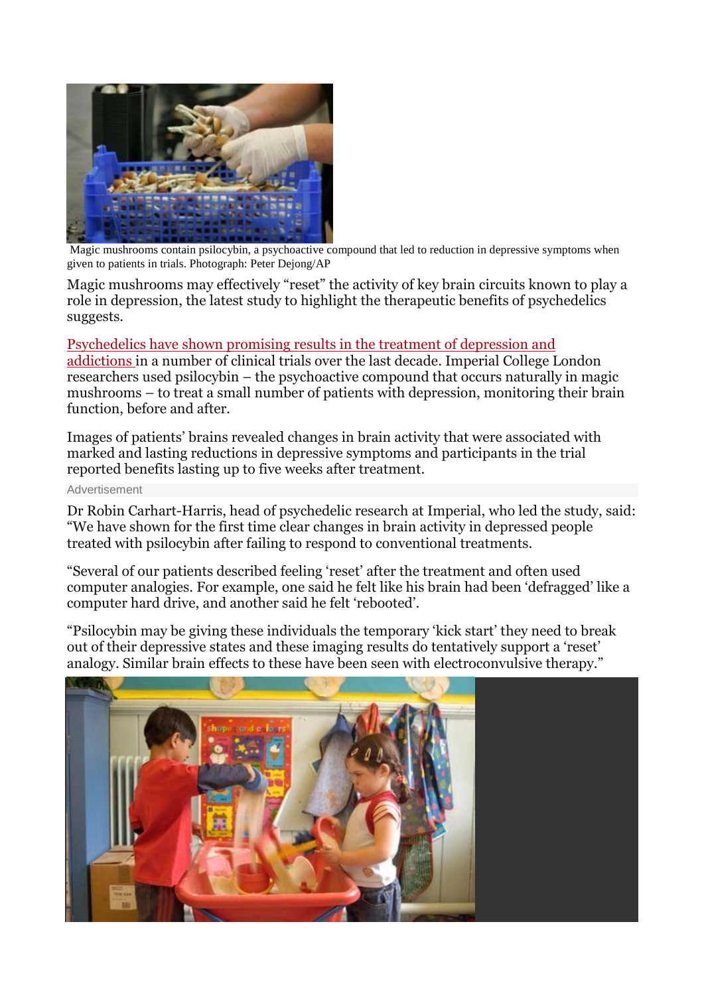

Magic mushrooms contain psilocybin, a psychoactive compound that led to reduction in depressive symptoms when given to patients in trials. Photograph: Peter Dejong/AP

Magic mushrooms may effectively "reset" the activity of key brain circuits known to play a role in depression, the latest study to highlight the therapeutic benefits of psychedelics suggests.

#### [Psychedelics have shown promising results in the treatment of depression and](https://www.theguardian.com/society/2016/dec/02/psychedelic-drugs-lift-mental-distress-lsd-trials)

[addictions](https://www.theguardian.com/society/2016/dec/02/psychedelic-drugs-lift-mental-distress-lsd-trials) in a number of clinical trials over the last decade. Imperial College London researchers used psilocybin – the psychoactive compound that occurs naturally in magic mushrooms – to treat a small number of patients with depression, monitoring their brain function, before and after.

Images of patients' brains revealed changes in brain activity that were associated with marked and lasting reductions in depressive symptoms and participants in the trial reported benefits lasting up to five weeks after treatment.

#### Advertisement

Dr Robin Carhart-Harris, head of psychedelic research at Imperial, who led the study, said: "We have shown for the first time clear changes in brain activity in depressed people treated with psilocybin after failing to respond to conventional treatments.

"Several of our patients described feeling 'reset' after the treatment and often used computer analogies. For example, one said he felt like his brain had been 'defragged' like a computer hard drive, and another said he felt 'rebooted'.

"Psilocybin may be giving these individuals the temporary 'kick start' they need to break out of their depressive states and these imaging results do tentatively support a 'reset' analogy. Similar brain effects to these have been seen with electroconvulsive therapy."